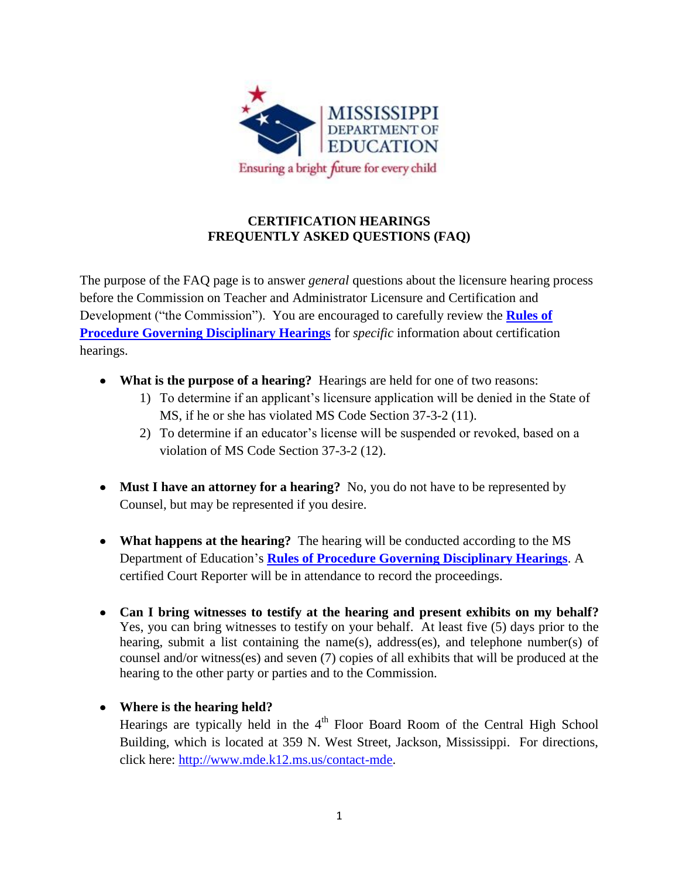

## **CERTIFICATION HEARINGS FREQUENTLY ASKED QUESTIONS (FAQ)**

The purpose of the FAQ page is to answer *general* questions about the licensure hearing process before the Commission on Teacher and Administrator Licensure and Certification and Development ("the Commission"). You are encouraged to carefully review the **[Rules of](http://www.mde.k12.ms.us/docs/educator-licensure/rules-for-procedure-for-disciplinary-hearings.pdf?sfvrsn=0)  [Procedure Governing Disciplinary Hearings](http://www.mde.k12.ms.us/docs/educator-licensure/rules-for-procedure-for-disciplinary-hearings.pdf?sfvrsn=0)** for *specific* information about certification hearings.

- **What is the purpose of a hearing?** Hearings are held for one of two reasons:
	- 1) To determine if an applicant's licensure application will be denied in the State of MS, if he or she has violated MS Code Section 37-3-2 (11).
	- 2) To determine if an educator's license will be suspended or revoked, based on a violation of MS Code Section 37-3-2 (12).
- Must I have an attorney for a hearing? No, you do not have to be represented by Counsel, but may be represented if you desire.
- **What happens at the hearing?** The hearing will be conducted according to the MS Department of Education's **Rules [of Procedure Governing Disciplinary Hearings](http://www.mde.k12.ms.us/docs/educator-licensure/rules-for-procedure-for-disciplinary-hearings.pdf?sfvrsn=0)**. A certified Court Reporter will be in attendance to record the proceedings.
- **Can I bring witnesses to testify at the hearing and present exhibits on my behalf?**  Yes, you can bring witnesses to testify on your behalf. At least five (5) days prior to the hearing, submit a list containing the name(s), address(es), and telephone number(s) of counsel and/or witness(es) and seven (7) copies of all exhibits that will be produced at the hearing to the other party or parties and to the Commission.

## **Where is the hearing held?**

Hearings are typically held in the  $4<sup>th</sup>$  Floor Board Room of the Central High School Building, which is located at 359 N. West Street, Jackson, Mississippi. For directions, click here: [http://www.mde.k12.ms.us/contact-mde.](http://www.mde.k12.ms.us/contact-mde)